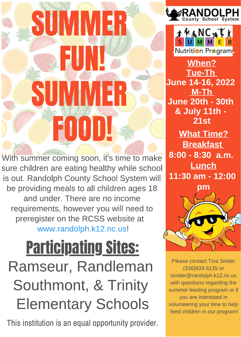## SUMMER **PUN!** SUMMER FOOD!

With summer coming soon, it's time to make sure children are eating healthy while school is out. Randolph County School System will be providing meals to all children ages 18 and under. There are no income requirements, however you will need to preregister on the RCSS website at www.randolph.k12.nc.us!

## Participating Sites: Ramseur, Randleman Southmont, & Trinity Elementary Schools

This institution is an equal opportunity provider.





When? Tue-Th June 14-16, 2022 M-Th June 20th - 30th & July 11th - 21st

What Time? **Breakfast** 8:00 - 8:30 a.m. **Lunch** 11:30 am - 12:00



Please contact Tina Snider (336)633-5135 or tsnider@randolph.k12.nc.us with questions regarding the summer feeding program or if you are interested in volunteering your time to help feed children in our program!